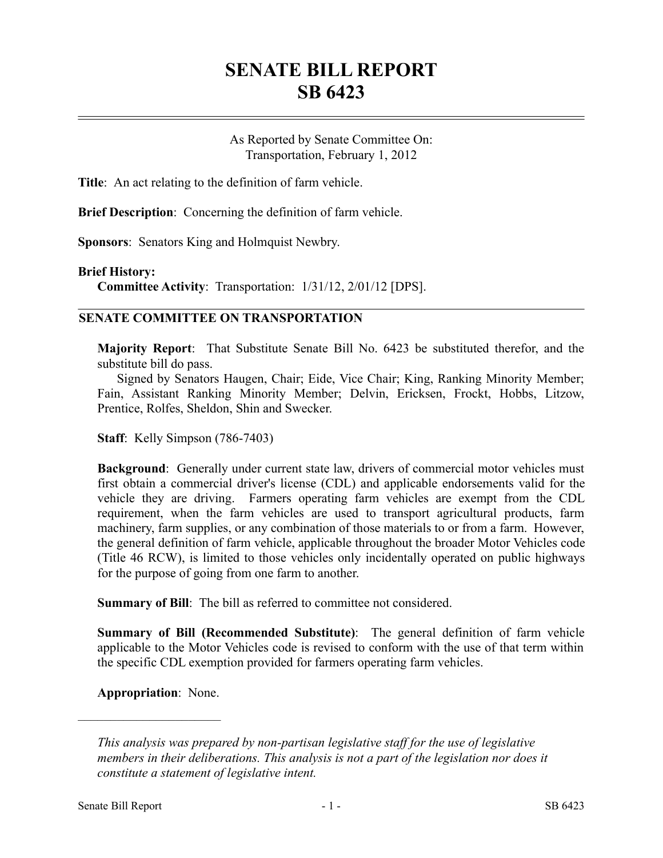## **SENATE BILL REPORT SB 6423**

As Reported by Senate Committee On: Transportation, February 1, 2012

**Title**: An act relating to the definition of farm vehicle.

**Brief Description**: Concerning the definition of farm vehicle.

**Sponsors**: Senators King and Holmquist Newbry.

## **Brief History:**

**Committee Activity**: Transportation: 1/31/12, 2/01/12 [DPS].

## **SENATE COMMITTEE ON TRANSPORTATION**

**Majority Report**: That Substitute Senate Bill No. 6423 be substituted therefor, and the substitute bill do pass.

Signed by Senators Haugen, Chair; Eide, Vice Chair; King, Ranking Minority Member; Fain, Assistant Ranking Minority Member; Delvin, Ericksen, Frockt, Hobbs, Litzow, Prentice, Rolfes, Sheldon, Shin and Swecker.

**Staff**: Kelly Simpson (786-7403)

**Background**: Generally under current state law, drivers of commercial motor vehicles must first obtain a commercial driver's license (CDL) and applicable endorsements valid for the vehicle they are driving. Farmers operating farm vehicles are exempt from the CDL requirement, when the farm vehicles are used to transport agricultural products, farm machinery, farm supplies, or any combination of those materials to or from a farm. However, the general definition of farm vehicle, applicable throughout the broader Motor Vehicles code (Title 46 RCW), is limited to those vehicles only incidentally operated on public highways for the purpose of going from one farm to another.

**Summary of Bill**: The bill as referred to committee not considered.

**Summary of Bill (Recommended Substitute)**: The general definition of farm vehicle applicable to the Motor Vehicles code is revised to conform with the use of that term within the specific CDL exemption provided for farmers operating farm vehicles.

**Appropriation**: None.

––––––––––––––––––––––

*This analysis was prepared by non-partisan legislative staff for the use of legislative members in their deliberations. This analysis is not a part of the legislation nor does it constitute a statement of legislative intent.*